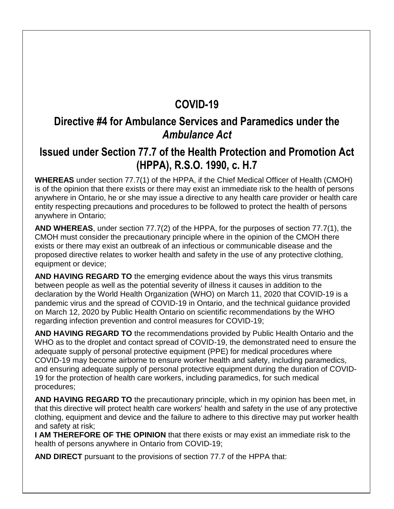### **COVID-19**

#### **Directive #4 for Ambulance Services and Paramedics under the**  *Ambulance Act*

#### **Issued under Section 77.7 of the Health Protection and Promotion Act (HPPA), R.S.O. 1990, c. H.7**

**WHEREAS** under section 77.7(1) of the HPPA, if the Chief Medical Officer of Health (CMOH) is of the opinion that there exists or there may exist an immediate risk to the health of persons anywhere in Ontario, he or she may issue a directive to any health care provider or health care entity respecting precautions and procedures to be followed to protect the health of persons anywhere in Ontario;

**AND WHEREAS**, under section 77.7(2) of the HPPA, for the purposes of section 77.7(1), the CMOH must consider the precautionary principle where in the opinion of the CMOH there exists or there may exist an outbreak of an infectious or communicable disease and the proposed directive relates to worker health and safety in the use of any protective clothing, equipment or device;

**AND HAVING REGARD TO** the emerging evidence about the ways this virus transmits between people as well as the potential severity of illness it causes in addition to the declaration by the World Health Organization (WHO) on March 11, 2020 that COVID-19 is a pandemic virus and the spread of COVID-19 in Ontario, and the technical guidance provided on March 12, 2020 by Public Health Ontario on scientific recommendations by the WHO regarding infection prevention and control measures for COVID-19;

**AND HAVING REGARD TO** the recommendations provided by Public Health Ontario and the WHO as to the droplet and contact spread of COVID-19, the demonstrated need to ensure the adequate supply of personal protective equipment (PPE) for medical procedures where COVID-19 may become airborne to ensure worker health and safety, including paramedics, and ensuring adequate supply of personal protective equipment during the duration of COVID-19 for the protection of health care workers, including paramedics, for such medical procedures;

**AND HAVING REGARD TO** the precautionary principle, which in my opinion has been met, in that this directive will protect health care workers' health and safety in the use of any protective clothing, equipment and device and the failure to adhere to this directive may put worker health and safety at risk;

**I AM THEREFORE OF THE OPINION** that there exists or may exist an immediate risk to the health of persons anywhere in Ontario from COVID-19;

**AND DIRECT** pursuant to the provisions of section 77.7 of the HPPA that: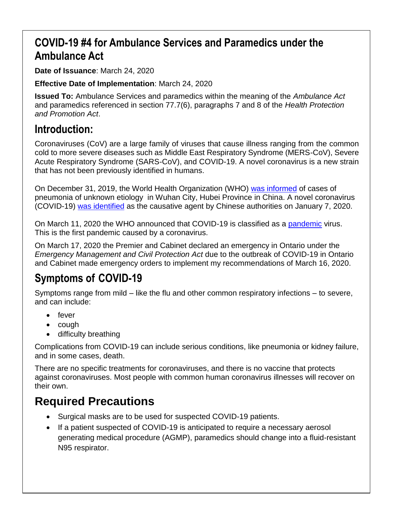## **COVID-19 #4 for Ambulance Services and Paramedics under the Ambulance Act**

**Date of Issuance**: March 24, 2020

**Effective Date of Implementation**: March 24, 2020

**Issued To:** Ambulance Services and paramedics within the meaning of the *Ambulance Act* and paramedics referenced in section 77.7(6), paragraphs 7 and 8 of the *Health Protection and Promotion Act*.

#### **Introduction:**

Coronaviruses (CoV) are a large family of viruses that cause illness ranging from the common cold to more severe diseases such as Middle East Respiratory Syndrome (MERS-CoV), Severe Acute Respiratory Syndrome (SARS-CoV), and COVID-19. A novel coronavirus is a new strain that has not been previously identified in humans.

On December 31, 2019, the World Health Organization (WHO) [was informed](https://www.who.int/csr/don/05-january-2020-pneumonia-of-unkown-cause-china/en/) of cases of pneumonia of unknown etiology in Wuhan City, Hubei Province in China. A novel coronavirus (COVID-19) [was identified](https://www.who.int/csr/don/12-january-2020-novel-coronavirus-china/en/) as the causative agent by Chinese authorities on January 7, 2020.

On March 11, 2020 the WHO announced that COVID-19 is classified as a [pandemic](https://www.who.int/dg/speeches/detail/who-director-general-s-opening-remarks-at-the-media-briefing-on-covid-19---11-march-2020) virus. This is the first pandemic caused by a coronavirus.

On March 17, 2020 the Premier and Cabinet declared an emergency in Ontario under the *Emergency Management and Civil Protection Act* due to the outbreak of COVID-19 in Ontario and Cabinet made emergency orders to implement my recommendations of March 16, 2020.

## **Symptoms of COVID-19**

Symptoms range from mild – like the flu and other common respiratory infections – to severe, and can include:

- fever
- cough
- difficulty breathing

Complications from COVID-19 can include serious conditions, like pneumonia or kidney failure, and in some cases, death.

There are no specific treatments for coronaviruses, and there is no vaccine that protects against coronaviruses. Most people with common human coronavirus illnesses will recover on their own.

# **Required Precautions**

- Surgical masks are to be used for suspected COVID-19 patients.
- If a patient suspected of COVID-19 is anticipated to require a necessary aerosol generating medical procedure (AGMP), paramedics should change into a fluid-resistant N95 respirator.